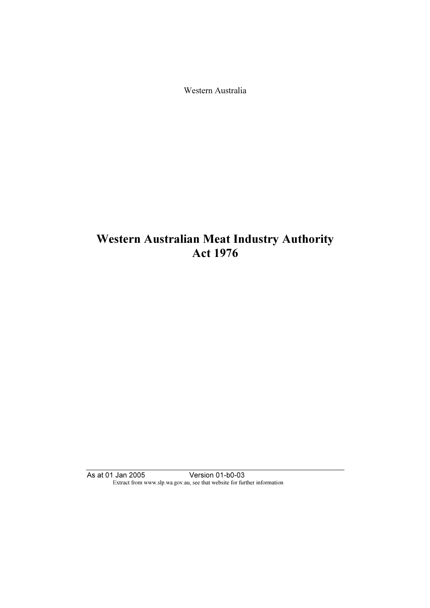Western Australia

# Western Australian Meat Industry Authority Act 1976

As at 01 Jan 2005 Version 01-b0-03 Extract from www.slp.wa.gov.au, see that website for further information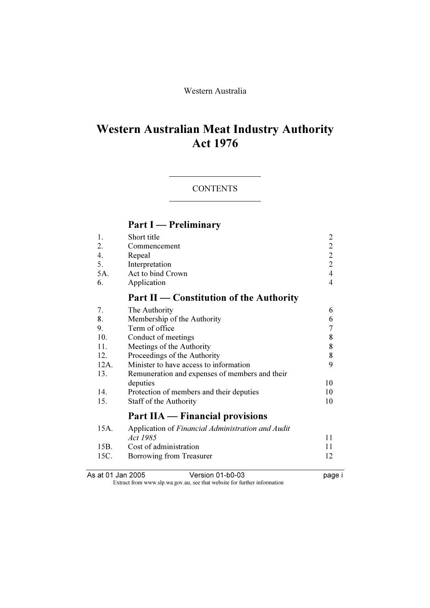### Western Australia

# Western Australian Meat Industry Authority Act 1976

### **CONTENTS**

# Part I — Preliminary

| 1.<br>2.<br>4.<br>5.<br>5A. | Short title<br>Commencement<br>Repeal<br>Interpretation<br>Act to bind Crown | $\overline{\mathbf{c}}$<br>$\begin{array}{c} 2 \\ 2 \\ 2 \end{array}$<br>$\overline{4}$ |
|-----------------------------|------------------------------------------------------------------------------|-----------------------------------------------------------------------------------------|
| 6.                          | Application                                                                  | 4                                                                                       |
|                             | Part II – Constitution of the Authority                                      |                                                                                         |
| 7.                          | The Authority                                                                | 6                                                                                       |
| 8.                          | Membership of the Authority                                                  | 6                                                                                       |
| 9.                          | Term of office                                                               | 7                                                                                       |
| 10.                         | Conduct of meetings                                                          | 8                                                                                       |
| 11.                         | Meetings of the Authority                                                    | 8                                                                                       |
| 12.                         | Proceedings of the Authority                                                 | 8                                                                                       |
| 12A.                        | Minister to have access to information                                       | 9                                                                                       |
| 13.                         | Remuneration and expenses of members and their                               |                                                                                         |
|                             | deputies                                                                     | 10                                                                                      |
| 14.                         | Protection of members and their deputies                                     | 10                                                                                      |
| 15.                         | Staff of the Authority                                                       | 10                                                                                      |
|                             | Part IIA — Financial provisions                                              |                                                                                         |
| 15A.                        | Application of Financial Administration and Audit                            |                                                                                         |
|                             | Act 1985                                                                     | 11                                                                                      |
| 15B.                        | Cost of administration                                                       | 11                                                                                      |
| 15C.                        | Borrowing from Treasurer                                                     | 12                                                                                      |
|                             |                                                                              |                                                                                         |

As at 01 Jan 2005 Version 01-b0-03 page i

Extract from www.slp.wa.gov.au, see that website for further information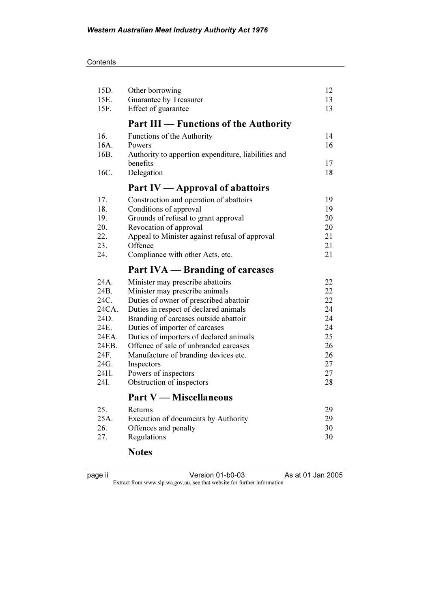## **Contents**

| 15D.  | Other borrowing                                                          | 12 |
|-------|--------------------------------------------------------------------------|----|
| 15E.  | Guarantee by Treasurer                                                   | 13 |
| 15F.  | Effect of guarantee                                                      | 13 |
|       | <b>Part III — Functions of the Authority</b>                             |    |
| 16.   | Functions of the Authority                                               | 14 |
| 16A.  | Powers                                                                   | 16 |
| 16B.  | Authority to apportion expenditure, liabilities and                      |    |
|       | benefits                                                                 | 17 |
| 16C.  | Delegation                                                               | 18 |
|       | Part IV — Approval of abattoirs                                          |    |
| 17.   | Construction and operation of abattoirs                                  | 19 |
| 18.   | Conditions of approval                                                   | 19 |
| 19.   | Grounds of refusal to grant approval                                     | 20 |
| 20.   | Revocation of approval                                                   | 20 |
| 22.   | Appeal to Minister against refusal of approval                           | 21 |
| 23.   | Offence                                                                  | 21 |
| 24.   | Compliance with other Acts, etc.                                         | 21 |
|       | Part IVA — Branding of carcases                                          |    |
|       |                                                                          |    |
| 24A.  |                                                                          | 22 |
| 24B.  | Minister may prescribe abattoirs                                         | 22 |
| 24C.  | Minister may prescribe animals<br>Duties of owner of prescribed abattoir | 22 |
| 24CA. | Duties in respect of declared animals                                    | 24 |
| 24D.  |                                                                          | 24 |
| 24E.  | Branding of carcases outside abattoir<br>Duties of importer of carcases  | 24 |
| 24EA. | Duties of importers of declared animals                                  | 25 |
| 24EB. | Offence of sale of unbranded carcases                                    | 26 |
| 24F.  | Manufacture of branding devices etc.                                     | 26 |
| 24G.  | Inspectors                                                               | 27 |
| 24H.  | Powers of inspectors                                                     | 27 |
| 24I.  | Obstruction of inspectors                                                | 28 |
|       | <b>Part V</b> — Miscellaneous                                            |    |
| 25.   | Returns                                                                  | 29 |
| 25A.  | Execution of documents by Authority                                      | 29 |
| 26.   | Offences and penalty                                                     | 30 |

# Notes

| <u>.</u>  |  |
|-----------|--|
| 1C<br>. . |  |
|           |  |
|           |  |

Version 01-b0-03 As at 01 Jan 2005 Extract from www.slp.wa.gov.au, see that website for further information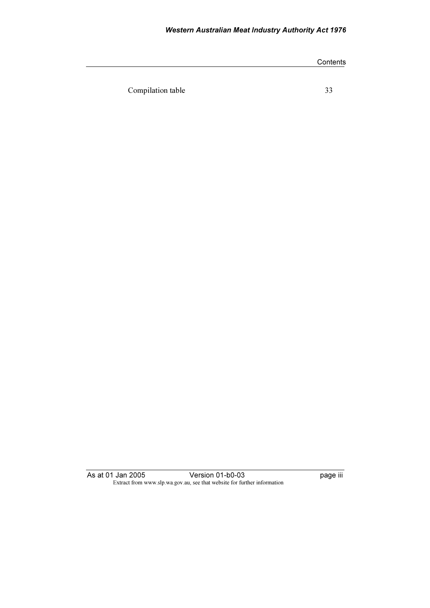## Western Australian Meat Industry Authority Act 1976

|                   | Contents |
|-------------------|----------|
|                   |          |
| Compilation table | 33       |
|                   |          |

As at 01 Jan 2005 Version 01-b0-03 page iii Extract from www.slp.wa.gov.au, see that website for further information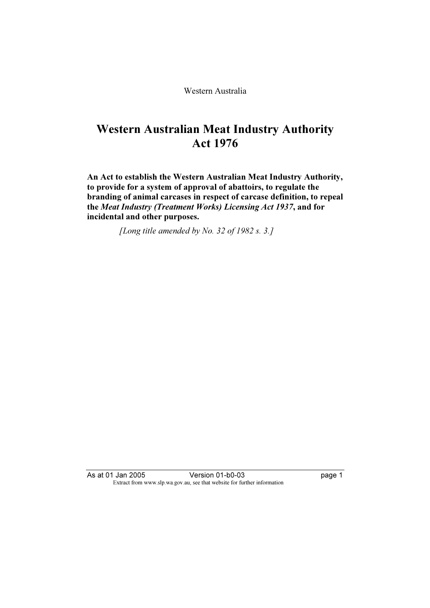Western Australia

# Western Australian Meat Industry Authority Act 1976

An Act to establish the Western Australian Meat Industry Authority, to provide for a system of approval of abattoirs, to regulate the branding of animal carcases in respect of carcase definition, to repeal the Meat Industry (Treatment Works) Licensing Act 1937, and for incidental and other purposes.

[Long title amended by No. 32 of 1982 s. 3.]

As at 01 Jan 2005 Version 01-b0-03 page 1 Extract from www.slp.wa.gov.au, see that website for further information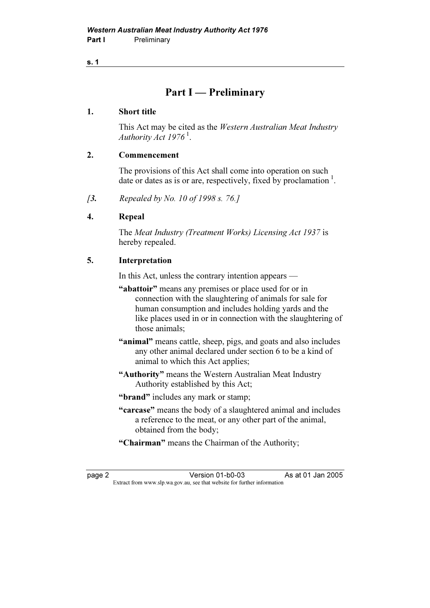#### s. 1

# Part I — Preliminary

#### 1. Short title

 This Act may be cited as the Western Australian Meat Industry Authority Act  $1976<sup>1</sup>$ .

#### 2. Commencement

 The provisions of this Act shall come into operation on such date or dates as is or are, respectively, fixed by proclamation  $\frac{1}{1}$ .

[3. Repealed by No. 10 of 1998 s. 76.]

#### 4. Repeal

 The Meat Industry (Treatment Works) Licensing Act 1937 is hereby repealed.

#### 5. Interpretation

In this Act, unless the contrary intention appears —

- "abattoir" means any premises or place used for or in connection with the slaughtering of animals for sale for human consumption and includes holding yards and the like places used in or in connection with the slaughtering of those animals;
- "animal" means cattle, sheep, pigs, and goats and also includes any other animal declared under section 6 to be a kind of animal to which this Act applies;
- "Authority" means the Western Australian Meat Industry Authority established by this Act;
- "**brand**" includes any mark or stamp;
- "carcase" means the body of a slaughtered animal and includes a reference to the meat, or any other part of the animal, obtained from the body;
- "Chairman" means the Chairman of the Authority;

page 2 Version 01-b0-03 As at 01 Jan 2005<br>Extract from www.slp.wa.gov.au, see that website for further information Extract from www.slp.wa.gov.au, see that website for further information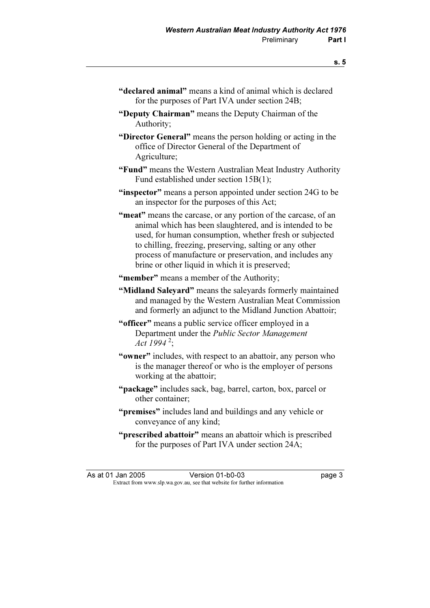- "declared animal" means a kind of animal which is declared for the purposes of Part IVA under section 24B;
- "Deputy Chairman" means the Deputy Chairman of the Authority;

 "Director General" means the person holding or acting in the office of Director General of the Department of Agriculture;

- "Fund" means the Western Australian Meat Industry Authority Fund established under section 15B(1);
- "inspector" means a person appointed under section 24G to be an inspector for the purposes of this Act;
- "meat" means the carcase, or any portion of the carcase, of an animal which has been slaughtered, and is intended to be used, for human consumption, whether fresh or subjected to chilling, freezing, preserving, salting or any other process of manufacture or preservation, and includes any brine or other liquid in which it is preserved:
- "member" means a member of the Authority;
- "Midland Saleyard" means the saleyards formerly maintained and managed by the Western Australian Meat Commission and formerly an adjunct to the Midland Junction Abattoir;
- "officer" means a public service officer employed in a Department under the Public Sector Management Act 1994<sup>2</sup>;
- "**owner**" includes, with respect to an abattoir, any person who is the manager thereof or who is the employer of persons working at the abattoir;
- "package" includes sack, bag, barrel, carton, box, parcel or other container;
- "**premises**" includes land and buildings and any vehicle or conveyance of any kind;
- "prescribed abattoir" means an abattoir which is prescribed for the purposes of Part IVA under section 24A;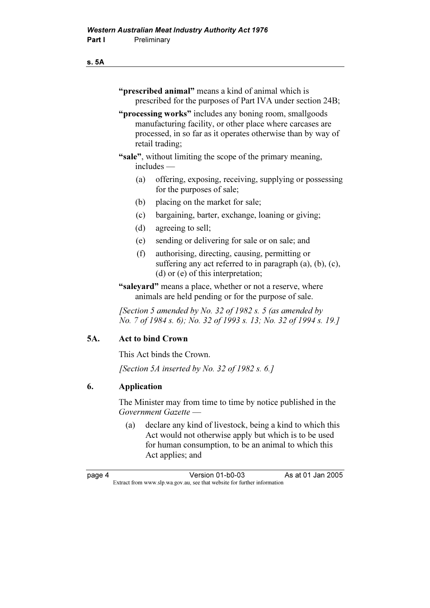#### s. 5A

- "**prescribed animal**" means a kind of animal which is prescribed for the purposes of Part IVA under section 24B;
- "**processing works**" includes any boning room, smallgoods manufacturing facility, or other place where carcases are processed, in so far as it operates otherwise than by way of retail trading;
- "sale", without limiting the scope of the primary meaning, includes —
	- (a) offering, exposing, receiving, supplying or possessing for the purposes of sale;
	- (b) placing on the market for sale;
	- (c) bargaining, barter, exchange, loaning or giving;
	- (d) agreeing to sell;
	- (e) sending or delivering for sale or on sale; and
	- (f) authorising, directing, causing, permitting or suffering any act referred to in paragraph (a), (b), (c), (d) or (e) of this interpretation;
- "salevard" means a place, whether or not a reserve, where animals are held pending or for the purpose of sale.

[Section 5 amended by No. 32 of 1982 s. 5 (as amended by No. 7 of 1984 s. 6); No. 32 of 1993 s. 13; No. 32 of 1994 s. 19.]

#### 5A. Act to bind Crown

This Act binds the Crown.

[Section 5A inserted by No. 32 of 1982 s. 6.]

#### 6. Application

 The Minister may from time to time by notice published in the Government Gazette

 (a) declare any kind of livestock, being a kind to which this Act would not otherwise apply but which is to be used for human consumption, to be an animal to which this Act applies; and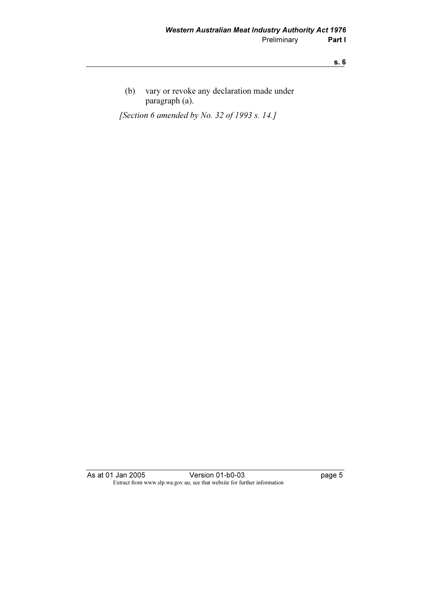(b) vary or revoke any declaration made under paragraph (a).

[Section 6 amended by No. 32 of 1993 s. 14.]

As at 01 Jan 2005 Version 01-b0-03 page 5 Extract from www.slp.wa.gov.au, see that website for further information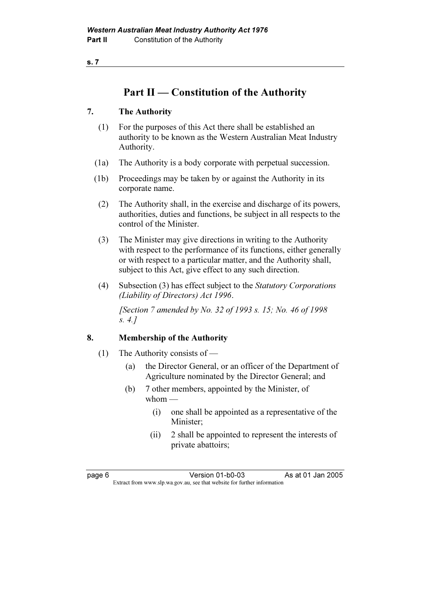s. 7

# Part II — Constitution of the Authority

### 7. The Authority

- (1) For the purposes of this Act there shall be established an authority to be known as the Western Australian Meat Industry Authority.
- (1a) The Authority is a body corporate with perpetual succession.
- (1b) Proceedings may be taken by or against the Authority in its corporate name.
- (2) The Authority shall, in the exercise and discharge of its powers, authorities, duties and functions, be subject in all respects to the control of the Minister.
- (3) The Minister may give directions in writing to the Authority with respect to the performance of its functions, either generally or with respect to a particular matter, and the Authority shall, subject to this Act, give effect to any such direction.
- (4) Subsection (3) has effect subject to the Statutory Corporations (Liability of Directors) Act 1996.

 [Section 7 amended by No. 32 of 1993 s. 15; No. 46 of 1998 s. 4.]

## 8. Membership of the Authority

- (1) The Authority consists of
	- (a) the Director General, or an officer of the Department of Agriculture nominated by the Director General; and
	- (b) 7 other members, appointed by the Minister, of whom —
		- (i) one shall be appointed as a representative of the Minister;
		- (ii) 2 shall be appointed to represent the interests of private abattoirs;

page 6 Version 01-b0-03 As at 01 Jan 2005<br>Extract from www.slp.wa.gov.au, see that website for further information Extract from www.slp.wa.gov.au, see that website for further information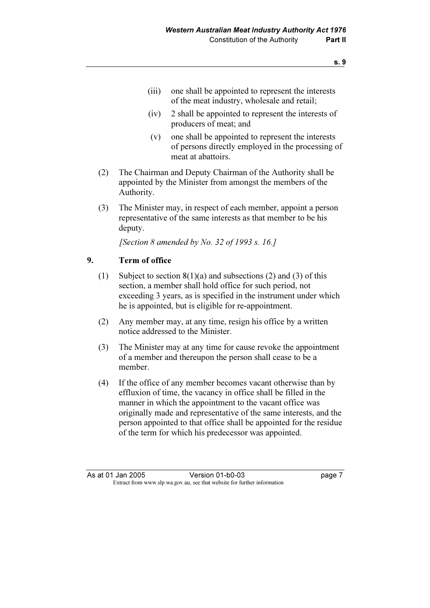- (iii) one shall be appointed to represent the interests of the meat industry, wholesale and retail;
- (iv) 2 shall be appointed to represent the interests of producers of meat; and
- (v) one shall be appointed to represent the interests of persons directly employed in the processing of meat at abattoirs.
- (2) The Chairman and Deputy Chairman of the Authority shall be appointed by the Minister from amongst the members of the Authority.
- (3) The Minister may, in respect of each member, appoint a person representative of the same interests as that member to be his deputy.

[Section 8 amended by No. 32 of 1993 s. 16.]

#### 9. Term of office

- (1) Subject to section  $8(1)(a)$  and subsections (2) and (3) of this section, a member shall hold office for such period, not exceeding 3 years, as is specified in the instrument under which he is appointed, but is eligible for re-appointment.
- (2) Any member may, at any time, resign his office by a written notice addressed to the Minister.
- (3) The Minister may at any time for cause revoke the appointment of a member and thereupon the person shall cease to be a member.
- (4) If the office of any member becomes vacant otherwise than by effluxion of time, the vacancy in office shall be filled in the manner in which the appointment to the vacant office was originally made and representative of the same interests, and the person appointed to that office shall be appointed for the residue of the term for which his predecessor was appointed.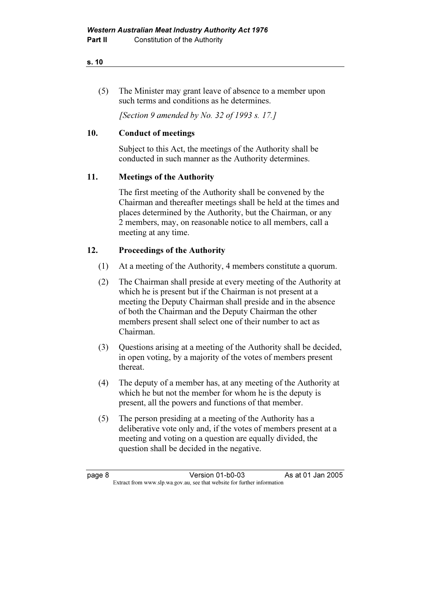#### s. 10

 (5) The Minister may grant leave of absence to a member upon such terms and conditions as he determines.

[Section 9 amended by No. 32 of 1993 s. 17.]

### 10. Conduct of meetings

 Subject to this Act, the meetings of the Authority shall be conducted in such manner as the Authority determines.

## 11. Meetings of the Authority

 The first meeting of the Authority shall be convened by the Chairman and thereafter meetings shall be held at the times and places determined by the Authority, but the Chairman, or any 2 members, may, on reasonable notice to all members, call a meeting at any time.

## 12. Proceedings of the Authority

- (1) At a meeting of the Authority, 4 members constitute a quorum.
- (2) The Chairman shall preside at every meeting of the Authority at which he is present but if the Chairman is not present at a meeting the Deputy Chairman shall preside and in the absence of both the Chairman and the Deputy Chairman the other members present shall select one of their number to act as Chairman.
- (3) Questions arising at a meeting of the Authority shall be decided, in open voting, by a majority of the votes of members present thereat.
- (4) The deputy of a member has, at any meeting of the Authority at which he but not the member for whom he is the deputy is present, all the powers and functions of that member.
- (5) The person presiding at a meeting of the Authority has a deliberative vote only and, if the votes of members present at a meeting and voting on a question are equally divided, the question shall be decided in the negative.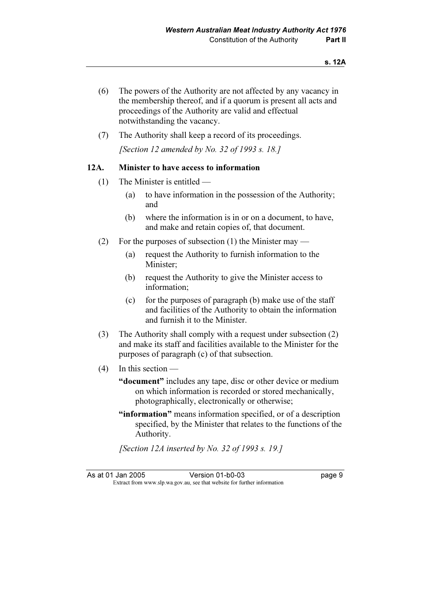- (6) The powers of the Authority are not affected by any vacancy in the membership thereof, and if a quorum is present all acts and proceedings of the Authority are valid and effectual notwithstanding the vacancy.
- (7) The Authority shall keep a record of its proceedings.

[Section 12 amended by No. 32 of 1993 s. 18.]

#### 12A. Minister to have access to information

- (1) The Minister is entitled
	- (a) to have information in the possession of the Authority; and
	- (b) where the information is in or on a document, to have, and make and retain copies of, that document.
- (2) For the purposes of subsection (1) the Minister may
	- (a) request the Authority to furnish information to the Minister;
	- (b) request the Authority to give the Minister access to information;
	- (c) for the purposes of paragraph (b) make use of the staff and facilities of the Authority to obtain the information and furnish it to the Minister.
- (3) The Authority shall comply with a request under subsection (2) and make its staff and facilities available to the Minister for the purposes of paragraph (c) of that subsection.
- (4) In this section
	- "document" includes any tape, disc or other device or medium on which information is recorded or stored mechanically, photographically, electronically or otherwise;
	- "information" means information specified, or of a description specified, by the Minister that relates to the functions of the Authority.

[Section 12A inserted by No. 32 of 1993 s. 19.]

As at 01 Jan 2005 Version 01-b0-03 page 9<br>Extract from www.slp.wa.gov.au, see that website for further information Extract from www.slp.wa.gov.au, see that website for further information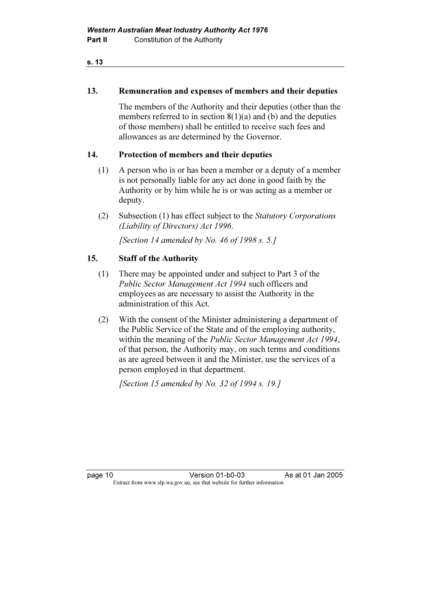#### s. 13

#### 13. Remuneration and expenses of members and their deputies

 The members of the Authority and their deputies (other than the members referred to in section 8(1)(a) and (b) and the deputies of those members) shall be entitled to receive such fees and allowances as are determined by the Governor.

#### 14. Protection of members and their deputies

- (1) A person who is or has been a member or a deputy of a member is not personally liable for any act done in good faith by the Authority or by him while he is or was acting as a member or deputy.
- (2) Subsection (1) has effect subject to the Statutory Corporations (Liability of Directors) Act 1996.

[Section 14 amended by No. 46 of 1998 s. 5.]

#### 15. Staff of the Authority

- (1) There may be appointed under and subject to Part 3 of the Public Sector Management Act 1994 such officers and employees as are necessary to assist the Authority in the administration of this Act.
- (2) With the consent of the Minister administering a department of the Public Service of the State and of the employing authority, within the meaning of the *Public Sector Management Act 1994*, of that person, the Authority may, on such terms and conditions as are agreed between it and the Minister, use the services of a person employed in that department.

[Section 15 amended by No. 32 of 1994 s. 19.]

page 10 Version 01-b0-03 As at 01 Jan 2005<br>Extract from www.slp.wa.gov.au, see that website for further information Extract from www.slp.wa.gov.au, see that website for further information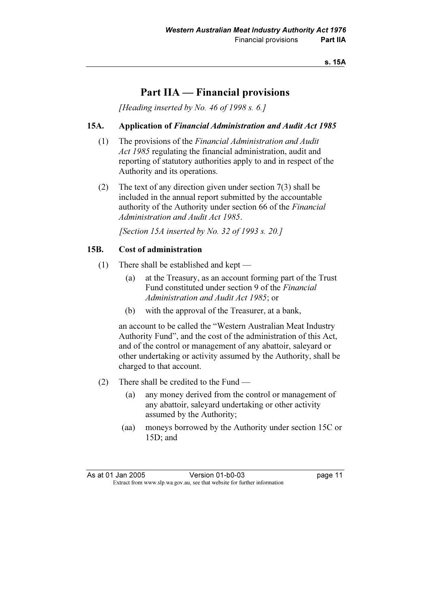# Part IIA — Financial provisions

[Heading inserted by No. 46 of 1998 s.  $6.1$ ]

#### 15A. Application of Financial Administration and Audit Act 1985

- (1) The provisions of the Financial Administration and Audit Act 1985 regulating the financial administration, audit and reporting of statutory authorities apply to and in respect of the Authority and its operations.
- (2) The text of any direction given under section 7(3) shall be included in the annual report submitted by the accountable authority of the Authority under section 66 of the Financial Administration and Audit Act 1985.

[Section 15A inserted by No. 32 of 1993 s. 20.]

#### 15B. Cost of administration

- (1) There shall be established and kept
	- (a) at the Treasury, as an account forming part of the Trust Fund constituted under section 9 of the Financial Administration and Audit Act 1985; or
	- (b) with the approval of the Treasurer, at a bank,

 an account to be called the "Western Australian Meat Industry Authority Fund", and the cost of the administration of this Act, and of the control or management of any abattoir, saleyard or other undertaking or activity assumed by the Authority, shall be charged to that account.

- (2) There shall be credited to the Fund
	- (a) any money derived from the control or management of any abattoir, saleyard undertaking or other activity assumed by the Authority;
	- (aa) moneys borrowed by the Authority under section 15C or 15D; and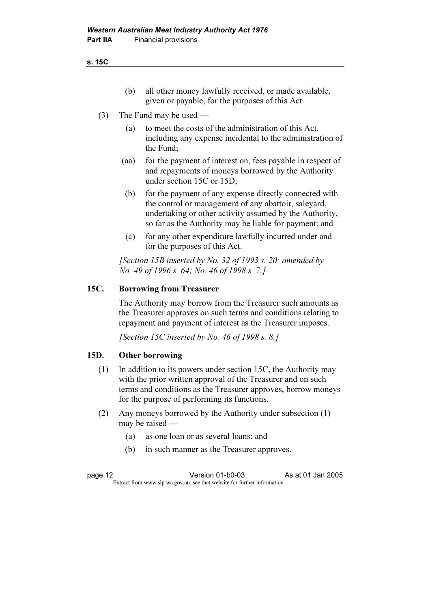s. 15C

- (b) all other money lawfully received, or made available, given or payable, for the purposes of this Act.
- (3) The Fund may be used
	- (a) to meet the costs of the administration of this Act, including any expense incidental to the administration of the Fund;
	- (aa) for the payment of interest on, fees payable in respect of and repayments of moneys borrowed by the Authority under section 15C or 15D;
	- (b) for the payment of any expense directly connected with the control or management of any abattoir, saleyard, undertaking or other activity assumed by the Authority, so far as the Authority may be liable for payment; and
	- (c) for any other expenditure lawfully incurred under and for the purposes of this Act.

[Section 15B inserted by No. 32 of 1993 s. 20; amended by No. 49 of 1996 s. 64; No. 46 of 1998 s. 7.]

#### 15C. Borrowing from Treasurer

 The Authority may borrow from the Treasurer such amounts as the Treasurer approves on such terms and conditions relating to repayment and payment of interest as the Treasurer imposes.

[Section 15C inserted by No. 46 of 1998 s. 8.]

### 15D. Other borrowing

- (1) In addition to its powers under section 15C, the Authority may with the prior written approval of the Treasurer and on such terms and conditions as the Treasurer approves, borrow moneys for the purpose of performing its functions.
- (2) Any moneys borrowed by the Authority under subsection (1) may be raised —
	- (a) as one loan or as several loans; and
	- (b) in such manner as the Treasurer approves.

page 12 Version 01-b0-03 As at 01 Jan 2005<br>Extract from www.slp.wa.gov.au, see that website for further information Extract from www.slp.wa.gov.au, see that website for further information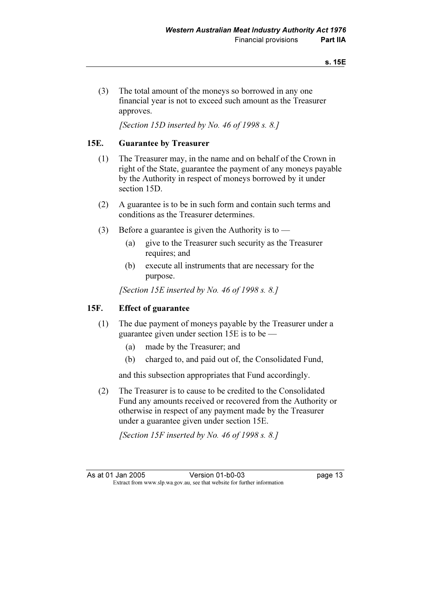(3) The total amount of the moneys so borrowed in any one financial year is not to exceed such amount as the Treasurer approves.

[Section 15D inserted by No. 46 of 1998 s. 8.]

#### 15E. Guarantee by Treasurer

- (1) The Treasurer may, in the name and on behalf of the Crown in right of the State, guarantee the payment of any moneys payable by the Authority in respect of moneys borrowed by it under section 15D.
- (2) A guarantee is to be in such form and contain such terms and conditions as the Treasurer determines.
- (3) Before a guarantee is given the Authority is to
	- (a) give to the Treasurer such security as the Treasurer requires; and
	- (b) execute all instruments that are necessary for the purpose.

[Section 15E inserted by No. 46 of 1998 s. 8.]

#### 15F. Effect of guarantee

- (1) The due payment of moneys payable by the Treasurer under a guarantee given under section 15E is to be —
	- (a) made by the Treasurer; and
	- (b) charged to, and paid out of, the Consolidated Fund,

and this subsection appropriates that Fund accordingly.

 (2) The Treasurer is to cause to be credited to the Consolidated Fund any amounts received or recovered from the Authority or otherwise in respect of any payment made by the Treasurer under a guarantee given under section 15E.

[Section 15F inserted by No. 46 of 1998 s. 8.]

As at 01 Jan 2005 Version 01-b0-03 page 13<br>Extract from www.slp.wa.gov.au, see that website for further information Extract from www.slp.wa.gov.au, see that website for further information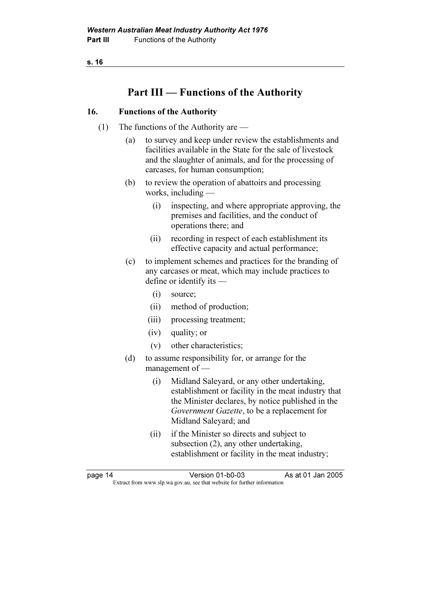s. 16

# Part III — Functions of the Authority

#### 16. Functions of the Authority

- (1) The functions of the Authority are
	- (a) to survey and keep under review the establishments and facilities available in the State for the sale of livestock and the slaughter of animals, and for the processing of carcases, for human consumption;
	- (b) to review the operation of abattoirs and processing works, including —
		- (i) inspecting, and where appropriate approving, the premises and facilities, and the conduct of operations there; and
		- (ii) recording in respect of each establishment its effective capacity and actual performance;
	- (c) to implement schemes and practices for the branding of any carcases or meat, which may include practices to define or identify its —
		- (i) source;
		- (ii) method of production;
		- (iii) processing treatment;
		- (iv) quality; or
		- (v) other characteristics;
	- (d) to assume responsibility for, or arrange for the management of —
		- (i) Midland Saleyard, or any other undertaking, establishment or facility in the meat industry that the Minister declares, by notice published in the Government Gazette, to be a replacement for Midland Saleyard; and
		- (ii) if the Minister so directs and subject to subsection (2), any other undertaking, establishment or facility in the meat industry;

page 14 Version 01-b0-03 As at 01 Jan 2005<br>Extract from www.slp.wa.gov.au, see that website for further information Extract from www.slp.wa.gov.au, see that website for further information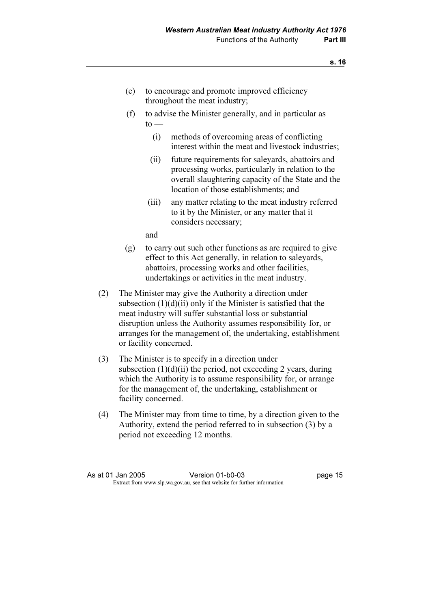- (e) to encourage and promote improved efficiency throughout the meat industry;
- (f) to advise the Minister generally, and in particular as  $to -$ 
	- (i) methods of overcoming areas of conflicting interest within the meat and livestock industries;
	- (ii) future requirements for saleyards, abattoirs and processing works, particularly in relation to the overall slaughtering capacity of the State and the location of those establishments; and
	- (iii) any matter relating to the meat industry referred to it by the Minister, or any matter that it considers necessary;

and

- (g) to carry out such other functions as are required to give effect to this Act generally, in relation to saleyards, abattoirs, processing works and other facilities, undertakings or activities in the meat industry.
- (2) The Minister may give the Authority a direction under subsection  $(1)(d)(ii)$  only if the Minister is satisfied that the meat industry will suffer substantial loss or substantial disruption unless the Authority assumes responsibility for, or arranges for the management of, the undertaking, establishment or facility concerned.
- (3) The Minister is to specify in a direction under subsection  $(1)(d)(ii)$  the period, not exceeding 2 years, during which the Authority is to assume responsibility for, or arrange for the management of, the undertaking, establishment or facility concerned.
- (4) The Minister may from time to time, by a direction given to the Authority, extend the period referred to in subsection (3) by a period not exceeding 12 months.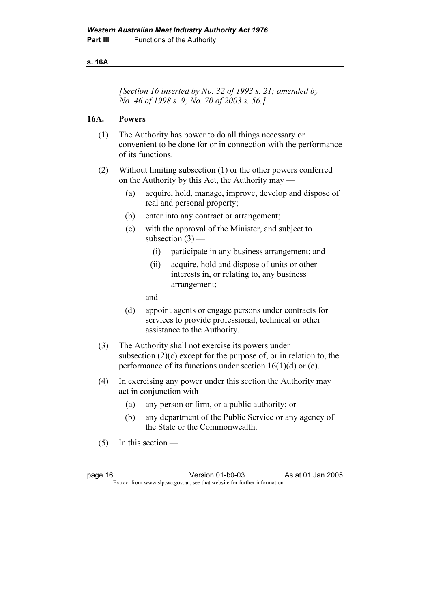#### s. 16A

[Section 16 inserted by No. 32 of 1993 s. 21; amended by No. 46 of 1998 s. 9; No. 70 of 2003 s. 56.]

### 16A. Powers

- (1) The Authority has power to do all things necessary or convenient to be done for or in connection with the performance of its functions.
- (2) Without limiting subsection (1) or the other powers conferred on the Authority by this Act, the Authority may —
	- (a) acquire, hold, manage, improve, develop and dispose of real and personal property;
	- (b) enter into any contract or arrangement;
	- (c) with the approval of the Minister, and subject to subsection  $(3)$  —
		- (i) participate in any business arrangement; and
		- (ii) acquire, hold and dispose of units or other interests in, or relating to, any business arrangement;

and

- (d) appoint agents or engage persons under contracts for services to provide professional, technical or other assistance to the Authority.
- (3) The Authority shall not exercise its powers under subsection  $(2)(c)$  except for the purpose of, or in relation to, the performance of its functions under section  $16(1)(d)$  or (e).
- (4) In exercising any power under this section the Authority may act in conjunction with —
	- (a) any person or firm, or a public authority; or
	- (b) any department of the Public Service or any agency of the State or the Commonwealth.
- (5) In this section —

page 16 Version 01-b0-03 As at 01 Jan 2005<br>Extract from www.slp.wa.gov.au, see that website for further information Extract from www.slp.wa.gov.au, see that website for further information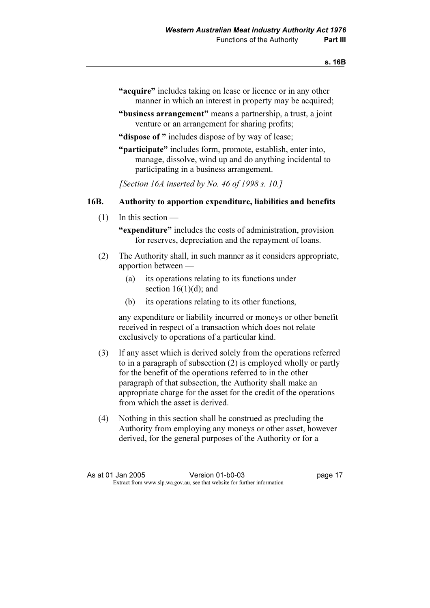- "acquire" includes taking on lease or licence or in any other manner in which an interest in property may be acquired;
- "business arrangement" means a partnership, a trust, a joint venture or an arrangement for sharing profits;
- "dispose of " includes dispose of by way of lease;
- "participate" includes form, promote, establish, enter into, manage, dissolve, wind up and do anything incidental to participating in a business arrangement.

[Section 16A inserted by No. 46 of 1998 s. 10.]

#### 16B. Authority to apportion expenditure, liabilities and benefits

(1) In this section —

"expenditure" includes the costs of administration, provision for reserves, depreciation and the repayment of loans.

- (2) The Authority shall, in such manner as it considers appropriate, apportion between —
	- (a) its operations relating to its functions under section  $16(1)(d)$ ; and
	- (b) its operations relating to its other functions,

 any expenditure or liability incurred or moneys or other benefit received in respect of a transaction which does not relate exclusively to operations of a particular kind.

- (3) If any asset which is derived solely from the operations referred to in a paragraph of subsection (2) is employed wholly or partly for the benefit of the operations referred to in the other paragraph of that subsection, the Authority shall make an appropriate charge for the asset for the credit of the operations from which the asset is derived.
- (4) Nothing in this section shall be construed as precluding the Authority from employing any moneys or other asset, however derived, for the general purposes of the Authority or for a

| As at 01 Jan 2005 | Version 01-b0-03                                                         | page 17 |
|-------------------|--------------------------------------------------------------------------|---------|
|                   | Extract from www.slp.wa.gov.au, see that website for further information |         |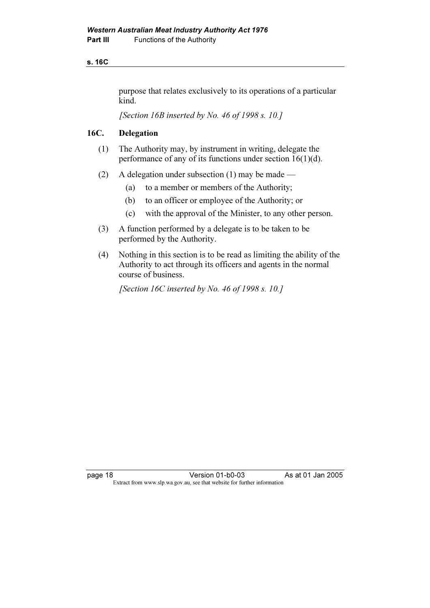#### s. 16C

purpose that relates exclusively to its operations of a particular kind.

[Section 16B inserted by No. 46 of 1998 s. 10.]

#### 16C. Delegation

- (1) The Authority may, by instrument in writing, delegate the performance of any of its functions under section 16(1)(d).
- (2) A delegation under subsection (1) may be made
	- (a) to a member or members of the Authority;
	- (b) to an officer or employee of the Authority; or
	- (c) with the approval of the Minister, to any other person.
- (3) A function performed by a delegate is to be taken to be performed by the Authority.
- (4) Nothing in this section is to be read as limiting the ability of the Authority to act through its officers and agents in the normal course of business.

[Section 16C inserted by No. 46 of 1998 s. 10.]

page 18 Version 01-b0-03 As at 01 Jan 2005<br>Extract from www.slp.wa.gov.au, see that website for further information Extract from www.slp.wa.gov.au, see that website for further information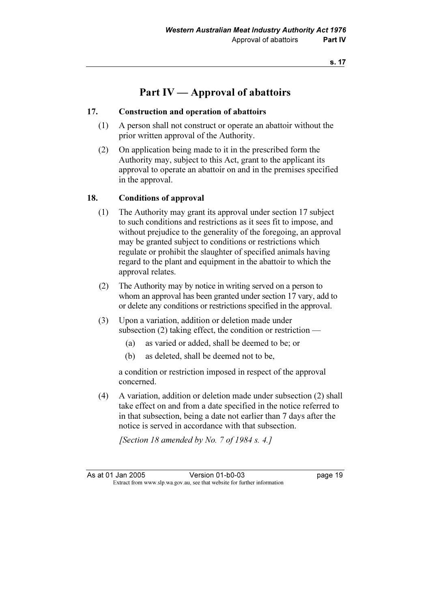# Part IV — Approval of abattoirs

### 17. Construction and operation of abattoirs

- (1) A person shall not construct or operate an abattoir without the prior written approval of the Authority.
- (2) On application being made to it in the prescribed form the Authority may, subject to this Act, grant to the applicant its approval to operate an abattoir on and in the premises specified in the approval.

#### 18. Conditions of approval

- (1) The Authority may grant its approval under section 17 subject to such conditions and restrictions as it sees fit to impose, and without prejudice to the generality of the foregoing, an approval may be granted subject to conditions or restrictions which regulate or prohibit the slaughter of specified animals having regard to the plant and equipment in the abattoir to which the approval relates.
- (2) The Authority may by notice in writing served on a person to whom an approval has been granted under section 17 vary, add to or delete any conditions or restrictions specified in the approval.
- (3) Upon a variation, addition or deletion made under subsection (2) taking effect, the condition or restriction —
	- (a) as varied or added, shall be deemed to be; or
	- (b) as deleted, shall be deemed not to be,

 a condition or restriction imposed in respect of the approval concerned.

 (4) A variation, addition or deletion made under subsection (2) shall take effect on and from a date specified in the notice referred to in that subsection, being a date not earlier than 7 days after the notice is served in accordance with that subsection.

[Section 18 amended by No. 7 of 1984 s. 4.]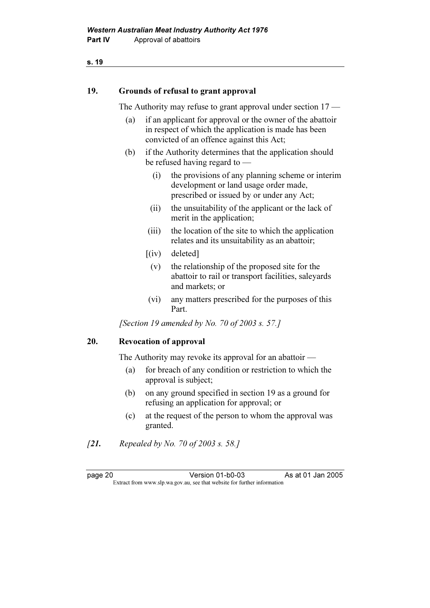#### s. 19

#### 19. Grounds of refusal to grant approval

The Authority may refuse to grant approval under section  $17$  —

- (a) if an applicant for approval or the owner of the abattoir in respect of which the application is made has been convicted of an offence against this Act;
- (b) if the Authority determines that the application should be refused having regard to —
	- (i) the provisions of any planning scheme or interim development or land usage order made, prescribed or issued by or under any Act;
	- (ii) the unsuitability of the applicant or the lack of merit in the application;
	- (iii) the location of the site to which the application relates and its unsuitability as an abattoir;
	- $(iv)$  deleted]
		- (v) the relationship of the proposed site for the abattoir to rail or transport facilities, saleyards and markets; or
	- (vi) any matters prescribed for the purposes of this Part.

[Section 19 amended by No. 70 of 2003 s. 57.]

#### 20. Revocation of approval

The Authority may revoke its approval for an abattoir —

- (a) for breach of any condition or restriction to which the approval is subject;
- (b) on any ground specified in section 19 as a ground for refusing an application for approval; or
- (c) at the request of the person to whom the approval was granted.
- [21. Repealed by No. 70 of 2003 s. 58.]

page 20 Version 01-b0-03 As at 01 Jan 2005<br>Extract from www.slp.wa.gov.au, see that website for further information Extract from www.slp.wa.gov.au, see that website for further information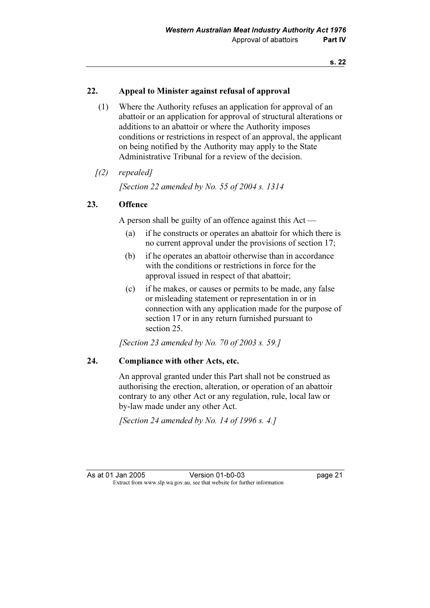#### 22. Appeal to Minister against refusal of approval

 (1) Where the Authority refuses an application for approval of an abattoir or an application for approval of structural alterations or additions to an abattoir or where the Authority imposes conditions or restrictions in respect of an approval, the applicant on being notified by the Authority may apply to the State Administrative Tribunal for a review of the decision.

#### $(2)$  repealed]

[Section 22 amended by No. 55 of 2004 s. 1314]

#### 23. Offence

A person shall be guilty of an offence against this Act —

- (a) if he constructs or operates an abattoir for which there is no current approval under the provisions of section 17;
- (b) if he operates an abattoir otherwise than in accordance with the conditions or restrictions in force for the approval issued in respect of that abattoir;
- (c) if he makes, or causes or permits to be made, any false or misleading statement or representation in or in connection with any application made for the purpose of section 17 or in any return furnished pursuant to section 25.

[Section 23 amended by No. 70 of 2003 s. 59.]

#### 24. Compliance with other Acts, etc.

 An approval granted under this Part shall not be construed as authorising the erection, alteration, or operation of an abattoir contrary to any other Act or any regulation, rule, local law or by-law made under any other Act.

[Section 24 amended by No. 14 of 1996 s. 4.]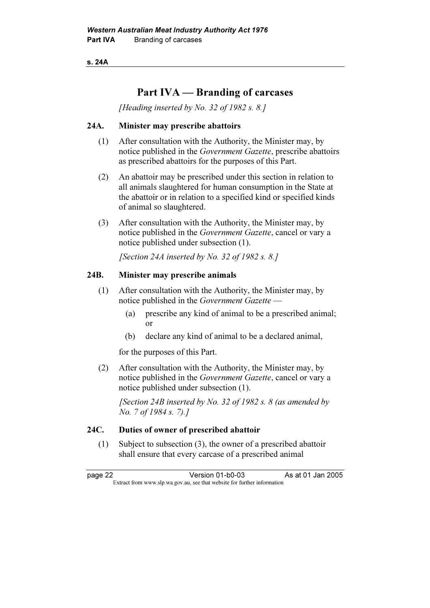s. 24A

# Part IVA — Branding of carcases

[Heading inserted by No. 32 of 1982 s. 8.]

#### 24A. Minister may prescribe abattoirs

- (1) After consultation with the Authority, the Minister may, by notice published in the Government Gazette, prescribe abattoirs as prescribed abattoirs for the purposes of this Part.
- (2) An abattoir may be prescribed under this section in relation to all animals slaughtered for human consumption in the State at the abattoir or in relation to a specified kind or specified kinds of animal so slaughtered.
- (3) After consultation with the Authority, the Minister may, by notice published in the Government Gazette, cancel or vary a notice published under subsection (1).

[Section 24A inserted by No. 32 of 1982 s. 8.]

### 24B. Minister may prescribe animals

- (1) After consultation with the Authority, the Minister may, by notice published in the Government Gazette —
	- (a) prescribe any kind of animal to be a prescribed animal; or
	- (b) declare any kind of animal to be a declared animal,

for the purposes of this Part.

 (2) After consultation with the Authority, the Minister may, by notice published in the Government Gazette, cancel or vary a notice published under subsection (1).

[Section 24B inserted by No. 32 of 1982 s.  $8$  (as amended by No. 7 of 1984 s. 7).]

### 24C. Duties of owner of prescribed abattoir

 (1) Subject to subsection (3), the owner of a prescribed abattoir shall ensure that every carcase of a prescribed animal

page 22 Version 01-b0-03 As at 01 Jan 2005<br>Extract from www.slp.wa.gov.au, see that website for further information Extract from www.slp.wa.gov.au, see that website for further information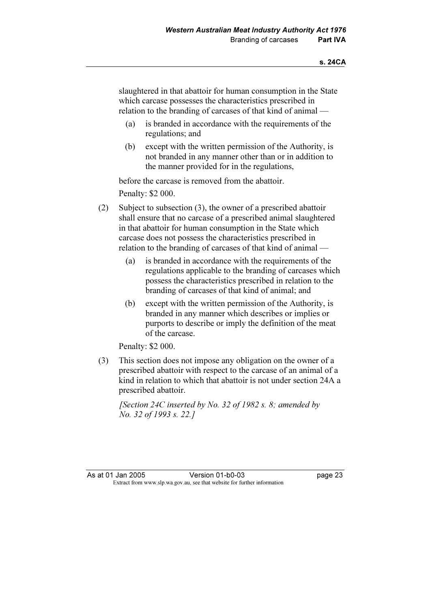slaughtered in that abattoir for human consumption in the State which carcase possesses the characteristics prescribed in relation to the branding of carcases of that kind of animal —

- (a) is branded in accordance with the requirements of the regulations; and
- (b) except with the written permission of the Authority, is not branded in any manner other than or in addition to the manner provided for in the regulations,

before the carcase is removed from the abattoir.

Penalty: \$2 000.

- (2) Subject to subsection (3), the owner of a prescribed abattoir shall ensure that no carcase of a prescribed animal slaughtered in that abattoir for human consumption in the State which carcase does not possess the characteristics prescribed in relation to the branding of carcases of that kind of animal —
	- (a) is branded in accordance with the requirements of the regulations applicable to the branding of carcases which possess the characteristics prescribed in relation to the branding of carcases of that kind of animal; and
	- (b) except with the written permission of the Authority, is branded in any manner which describes or implies or purports to describe or imply the definition of the meat of the carcase.

Penalty: \$2 000.

 (3) This section does not impose any obligation on the owner of a prescribed abattoir with respect to the carcase of an animal of a kind in relation to which that abattoir is not under section 24A a prescribed abattoir.

[Section 24C inserted by No. 32 of 1982 s. 8; amended by No. 32 of 1993 s. 22.]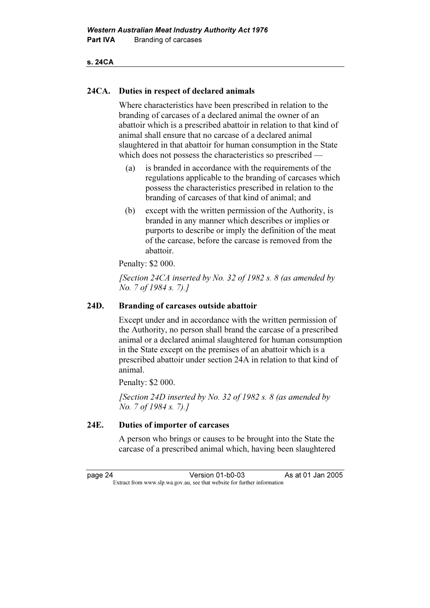#### s. 24CA

#### 24CA. Duties in respect of declared animals

 Where characteristics have been prescribed in relation to the branding of carcases of a declared animal the owner of an abattoir which is a prescribed abattoir in relation to that kind of animal shall ensure that no carcase of a declared animal slaughtered in that abattoir for human consumption in the State which does not possess the characteristics so prescribed —

- (a) is branded in accordance with the requirements of the regulations applicable to the branding of carcases which possess the characteristics prescribed in relation to the branding of carcases of that kind of animal; and
- (b) except with the written permission of the Authority, is branded in any manner which describes or implies or purports to describe or imply the definition of the meat of the carcase, before the carcase is removed from the abattoir.

Penalty: \$2 000.

[Section 24CA inserted by No. 32 of 1982 s. 8 (as amended by No. 7 of 1984 s. 7).]

#### 24D. Branding of carcases outside abattoir

 Except under and in accordance with the written permission of the Authority, no person shall brand the carcase of a prescribed animal or a declared animal slaughtered for human consumption in the State except on the premises of an abattoir which is a prescribed abattoir under section 24A in relation to that kind of animal.

Penalty: \$2 000.

[Section 24D inserted by No. 32 of 1982 s. 8 (as amended by No. 7 of 1984 s. 7).]

### 24E. Duties of importer of carcases

 A person who brings or causes to be brought into the State the carcase of a prescribed animal which, having been slaughtered

page 24 Version 01-b0-03 As at 01 Jan 2005<br>Extract from www.slp.wa.gov.au, see that website for further information Extract from www.slp.wa.gov.au, see that website for further information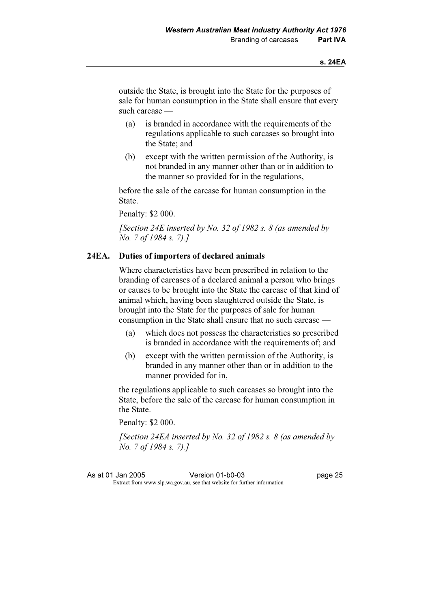outside the State, is brought into the State for the purposes of sale for human consumption in the State shall ensure that every such carcase —

- (a) is branded in accordance with the requirements of the regulations applicable to such carcases so brought into the State; and
- (b) except with the written permission of the Authority, is not branded in any manner other than or in addition to the manner so provided for in the regulations,

 before the sale of the carcase for human consumption in the State.

Penalty: \$2 000.

[Section 24E inserted by No. 32 of 1982 s.  $8$  (as amended by No. 7 of 1984 s. 7).]

#### 24EA. Duties of importers of declared animals

 Where characteristics have been prescribed in relation to the branding of carcases of a declared animal a person who brings or causes to be brought into the State the carcase of that kind of animal which, having been slaughtered outside the State, is brought into the State for the purposes of sale for human consumption in the State shall ensure that no such carcase —

- (a) which does not possess the characteristics so prescribed is branded in accordance with the requirements of; and
- (b) except with the written permission of the Authority, is branded in any manner other than or in addition to the manner provided for in,

 the regulations applicable to such carcases so brought into the State, before the sale of the carcase for human consumption in the State.

Penalty: \$2 000.

[Section 24EA inserted by No. 32 of 1982 s. 8 (as amended by No. 7 of 1984 s. 7).]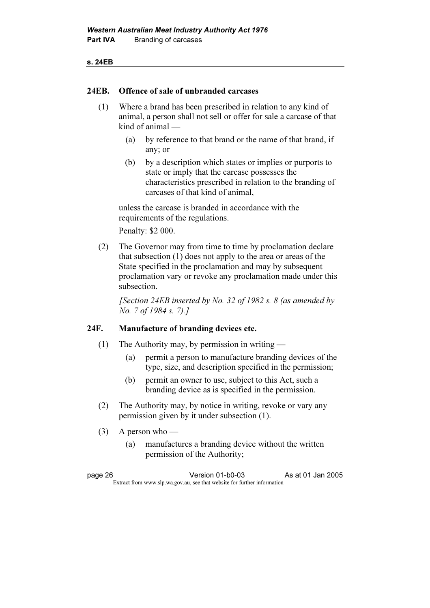#### s. 24EB

#### 24EB. Offence of sale of unbranded carcases

- (1) Where a brand has been prescribed in relation to any kind of animal, a person shall not sell or offer for sale a carcase of that kind of animal —
	- (a) by reference to that brand or the name of that brand, if any; or
	- (b) by a description which states or implies or purports to state or imply that the carcase possesses the characteristics prescribed in relation to the branding of carcases of that kind of animal,

 unless the carcase is branded in accordance with the requirements of the regulations.

Penalty: \$2 000.

 (2) The Governor may from time to time by proclamation declare that subsection (1) does not apply to the area or areas of the State specified in the proclamation and may by subsequent proclamation vary or revoke any proclamation made under this subsection.

[Section 24EB inserted by No. 32 of 1982 s.  $8$  (as amended by No. 7 of 1984 s. 7).]

#### 24F. Manufacture of branding devices etc.

- (1) The Authority may, by permission in writing
	- (a) permit a person to manufacture branding devices of the type, size, and description specified in the permission;
	- (b) permit an owner to use, subject to this Act, such a branding device as is specified in the permission.
- (2) The Authority may, by notice in writing, revoke or vary any permission given by it under subsection (1).
- $(3)$  A person who
	- (a) manufactures a branding device without the written permission of the Authority;

| page 26 | Version 01-b0-03                                                         | As at 01 Jan 2005 |
|---------|--------------------------------------------------------------------------|-------------------|
|         | Extract from www.slp.wa.gov.au, see that website for further information |                   |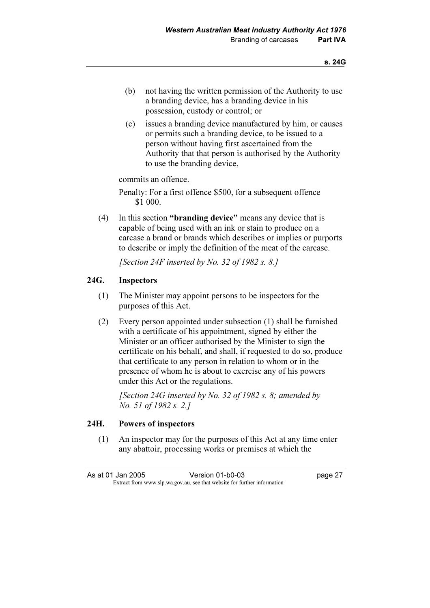- (b) not having the written permission of the Authority to use a branding device, has a branding device in his possession, custody or control; or
- (c) issues a branding device manufactured by him, or causes or permits such a branding device, to be issued to a person without having first ascertained from the Authority that that person is authorised by the Authority to use the branding device,

commits an offence.

 Penalty: For a first offence \$500, for a subsequent offence \$1 000.

 (4) In this section "branding device" means any device that is capable of being used with an ink or stain to produce on a carcase a brand or brands which describes or implies or purports to describe or imply the definition of the meat of the carcase.

[Section 24F inserted by No. 32 of 1982 s. 8.]

### 24G. Inspectors

- (1) The Minister may appoint persons to be inspectors for the purposes of this Act.
- (2) Every person appointed under subsection (1) shall be furnished with a certificate of his appointment, signed by either the Minister or an officer authorised by the Minister to sign the certificate on his behalf, and shall, if requested to do so, produce that certificate to any person in relation to whom or in the presence of whom he is about to exercise any of his powers under this Act or the regulations.

[Section 24G inserted by No. 32 of 1982 s. 8; amended by No. 51 of 1982 s. 2.]

### 24H. Powers of inspectors

 (1) An inspector may for the purposes of this Act at any time enter any abattoir, processing works or premises at which the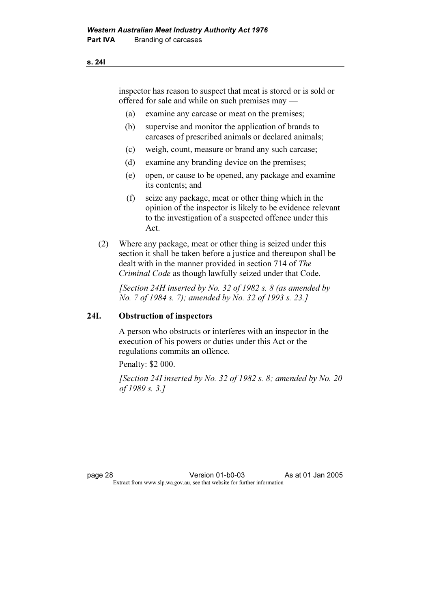inspector has reason to suspect that meat is stored or is sold or offered for sale and while on such premises may —

- (a) examine any carcase or meat on the premises;
- (b) supervise and monitor the application of brands to carcases of prescribed animals or declared animals;
- (c) weigh, count, measure or brand any such carcase;
- (d) examine any branding device on the premises;
- (e) open, or cause to be opened, any package and examine its contents; and
- (f) seize any package, meat or other thing which in the opinion of the inspector is likely to be evidence relevant to the investigation of a suspected offence under this Act.
- (2) Where any package, meat or other thing is seized under this section it shall be taken before a justice and thereupon shall be dealt with in the manner provided in section 714 of The Criminal Code as though lawfully seized under that Code.

[Section 24H inserted by No. 32 of 1982 s.  $8$  (as amended by No. 7 of 1984 s. 7); amended by No. 32 of 1993 s. 23.]

#### 24I. Obstruction of inspectors

 A person who obstructs or interferes with an inspector in the execution of his powers or duties under this Act or the regulations commits an offence.

Penalty: \$2 000.

 [Section 24I inserted by No. 32 of 1982 s. 8; amended by No. 20 of 1989 s. 3.]

s. 24I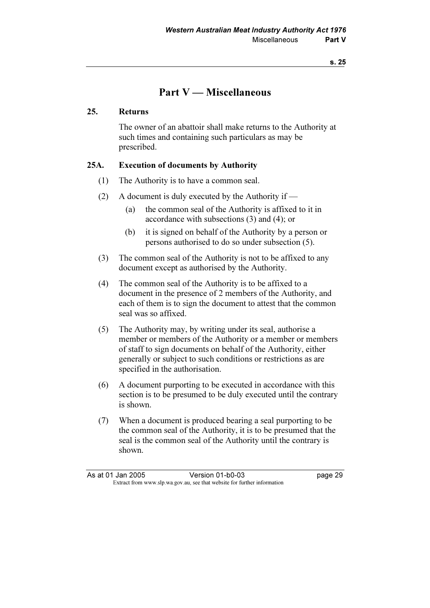# Part V — Miscellaneous

#### 25. Returns

 The owner of an abattoir shall make returns to the Authority at such times and containing such particulars as may be prescribed.

#### 25A. Execution of documents by Authority

- (1) The Authority is to have a common seal.
- (2) A document is duly executed by the Authority if
	- (a) the common seal of the Authority is affixed to it in accordance with subsections (3) and (4); or
	- (b) it is signed on behalf of the Authority by a person or persons authorised to do so under subsection (5).
- (3) The common seal of the Authority is not to be affixed to any document except as authorised by the Authority.
- (4) The common seal of the Authority is to be affixed to a document in the presence of 2 members of the Authority, and each of them is to sign the document to attest that the common seal was so affixed.
- (5) The Authority may, by writing under its seal, authorise a member or members of the Authority or a member or members of staff to sign documents on behalf of the Authority, either generally or subject to such conditions or restrictions as are specified in the authorisation.
- (6) A document purporting to be executed in accordance with this section is to be presumed to be duly executed until the contrary is shown.
- (7) When a document is produced bearing a seal purporting to be the common seal of the Authority, it is to be presumed that the seal is the common seal of the Authority until the contrary is shown.

| As at 01 Jan 2005 | Version 01-b0-03                                                         | page 29 |
|-------------------|--------------------------------------------------------------------------|---------|
|                   | Extract from www.slp.wa.gov.au, see that website for further information |         |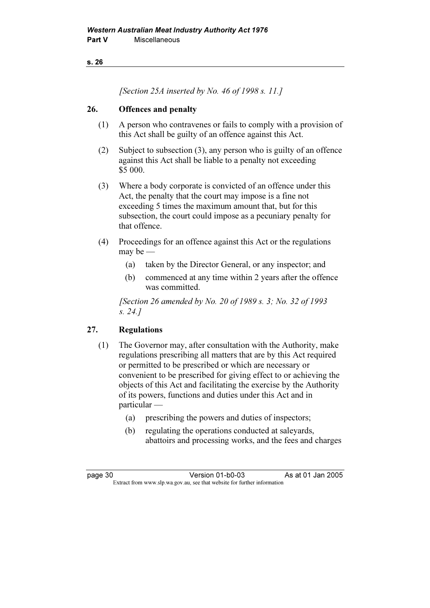s. 26

[Section 25A inserted by No. 46 of 1998 s. 11.]

### 26. Offences and penalty

- (1) A person who contravenes or fails to comply with a provision of this Act shall be guilty of an offence against this Act.
- (2) Subject to subsection (3), any person who is guilty of an offence against this Act shall be liable to a penalty not exceeding \$5 000.
- (3) Where a body corporate is convicted of an offence under this Act, the penalty that the court may impose is a fine not exceeding 5 times the maximum amount that, but for this subsection, the court could impose as a pecuniary penalty for that offence.
- (4) Proceedings for an offence against this Act or the regulations may be —
	- (a) taken by the Director General, or any inspector; and
	- (b) commenced at any time within 2 years after the offence was committed.

 [Section 26 amended by No. 20 of 1989 s. 3; No. 32 of 1993 s. 24.]

## 27. Regulations

- (1) The Governor may, after consultation with the Authority, make regulations prescribing all matters that are by this Act required or permitted to be prescribed or which are necessary or convenient to be prescribed for giving effect to or achieving the objects of this Act and facilitating the exercise by the Authority of its powers, functions and duties under this Act and in particular —
	- (a) prescribing the powers and duties of inspectors;
	- (b) regulating the operations conducted at saleyards, abattoirs and processing works, and the fees and charges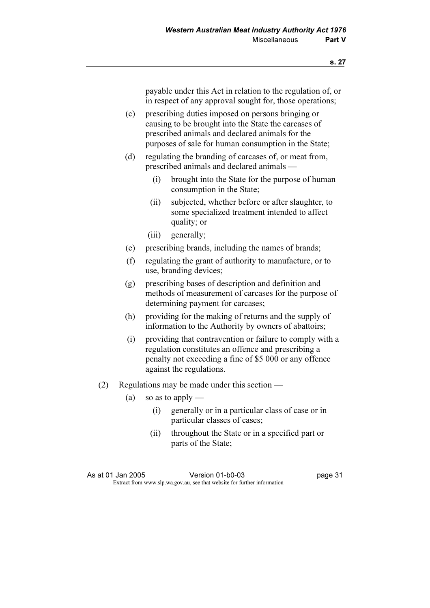payable under this Act in relation to the regulation of, or in respect of any approval sought for, those operations;

- (c) prescribing duties imposed on persons bringing or causing to be brought into the State the carcases of prescribed animals and declared animals for the purposes of sale for human consumption in the State;
- (d) regulating the branding of carcases of, or meat from, prescribed animals and declared animals —
	- (i) brought into the State for the purpose of human consumption in the State;
	- (ii) subjected, whether before or after slaughter, to some specialized treatment intended to affect quality; or
	- (iii) generally;
- (e) prescribing brands, including the names of brands;
- (f) regulating the grant of authority to manufacture, or to use, branding devices;
- (g) prescribing bases of description and definition and methods of measurement of carcases for the purpose of determining payment for carcases;
- (h) providing for the making of returns and the supply of information to the Authority by owners of abattoirs;
- (i) providing that contravention or failure to comply with a regulation constitutes an offence and prescribing a penalty not exceeding a fine of \$5 000 or any offence against the regulations.
- (2) Regulations may be made under this section
	- (a) so as to apply
		- (i) generally or in a particular class of case or in particular classes of cases;
		- (ii) throughout the State or in a specified part or parts of the State;

As at 01 Jan 2005 Version 01-b0-03 page 31<br>Extract from www.slp.wa.gov.au, see that website for further information Extract from www.slp.wa.gov.au, see that website for further information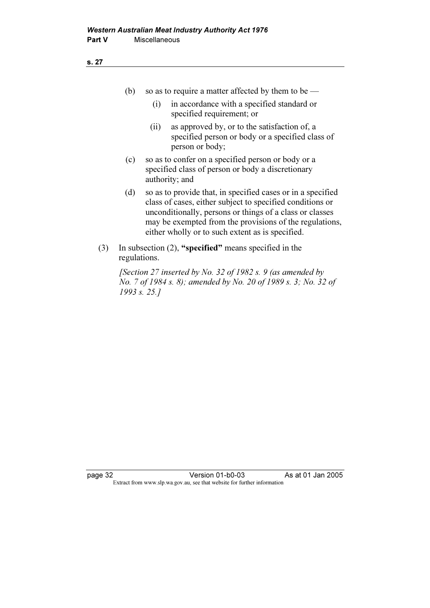|  | so as to require a matter affected by them to be — |
|--|----------------------------------------------------|
|  |                                                    |

- (i) in accordance with a specified standard or specified requirement; or
- (ii) as approved by, or to the satisfaction of, a specified person or body or a specified class of person or body;
- (c) so as to confer on a specified person or body or a specified class of person or body a discretionary authority; and
- (d) so as to provide that, in specified cases or in a specified class of cases, either subject to specified conditions or unconditionally, persons or things of a class or classes may be exempted from the provisions of the regulations, either wholly or to such extent as is specified.
- (3) In subsection (2), "specified" means specified in the regulations.

[Section 27 inserted by No. 32 of 1982 s. 9 (as amended by No. 7 of 1984 s. 8); amended by No. 20 of 1989 s. 3; No. 32 of 1993 s. 25.]

page 32 Version 01-b0-03 As at 01 Jan 2005 Extract from www.slp.wa.gov.au, see that website for further information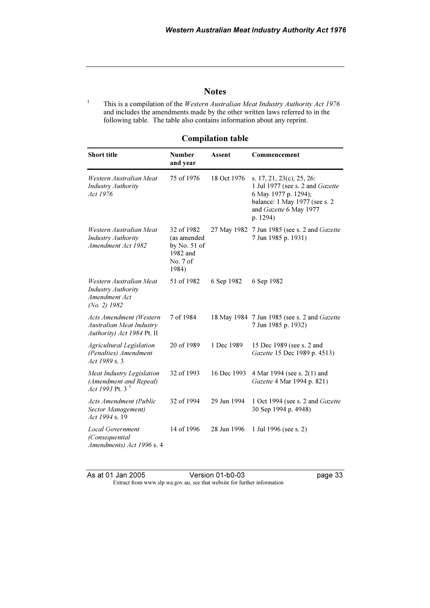#### **Notes**

1 This is a compilation of the Western Australian Meat Industry Authority Act 1976 and includes the amendments made by the other written laws referred to in the following table. The table also contains information about any reprint.

| <b>Number</b><br>and year                                                    | Assent      | Commencement                                                                                                                                                 |
|------------------------------------------------------------------------------|-------------|--------------------------------------------------------------------------------------------------------------------------------------------------------------|
| 75 of 1976                                                                   | 18 Oct 1976 | s. 17, 21, 23(c), 25, 26:<br>1 Jul 1977 (see s. 2 and Gazette<br>6 May 1977 p. 1294);<br>balance: 1 May 1977 (see s. 2<br>and Gazette 6 May 1977<br>p. 1294) |
| 32 of 1982<br>(as amended<br>by No. $51$ of<br>1982 and<br>No. 7 of<br>1984) |             | 27 May 1982 7 Jun 1985 (see s. 2 and Gazette<br>7 Jun 1985 p. 1931)                                                                                          |
| 51 of 1982                                                                   | 6 Sep 1982  | 6 Sep 1982                                                                                                                                                   |
| 7 of 1984                                                                    |             | 18 May 1984 7 Jun 1985 (see s. 2 and Gazette<br>7 Jun 1985 p. 1932)                                                                                          |
| 20 of 1989                                                                   | 1 Dec 1989  | 15 Dec 1989 (see s. 2 and<br>Gazette 15 Dec 1989 p. 4513)                                                                                                    |
| 32 of 1993                                                                   | 16 Dec 1993 | 4 Mar 1994 (see s. 2(1) and<br>Gazette 4 Mar 1994 p. 821)                                                                                                    |
| 32 of 1994                                                                   | 29 Jun 1994 | 1 Oct 1994 (see s. 2 and <i>Gazette</i><br>30 Sep 1994 p. 4948)                                                                                              |
| 14 of 1996                                                                   | 28 Jun 1996 | 1 Jul 1996 (see s. 2)                                                                                                                                        |
|                                                                              |             |                                                                                                                                                              |

#### Compilation table

As at 01 Jan 2005 Version 01-b0-03 page 33 Extract from www.slp.wa.gov.au, see that website for further information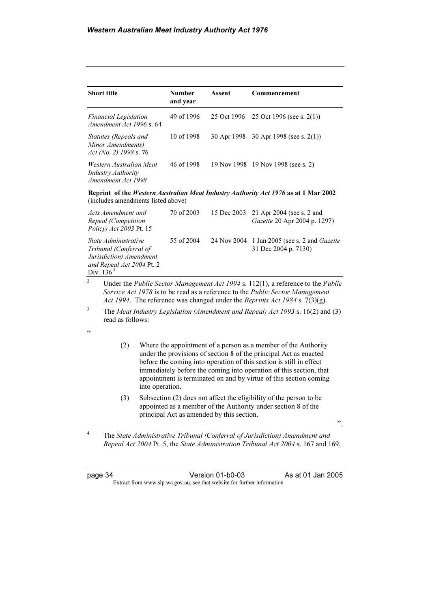| <b>Short title</b>                                                         | <b>Number</b><br>and year | Assent | Commencement                             |
|----------------------------------------------------------------------------|---------------------------|--------|------------------------------------------|
| <b>Financial Legislation</b><br>Amendment Act 1996 s. 64                   | 49 of 1996                |        | 25 Oct 1996 25 Oct 1996 (see s. 2(1))    |
| Statutes (Repeals and<br>Minor Amendments)<br>Act (No. 2) 1998 s. 76       | 10 of 1998                |        | 30 Apr 1998 30 Apr 1998 (see s. $2(1)$ ) |
| Western Australian Meat<br><b>Industry Authority</b><br>Amendment Act 1998 | 46 of 1998                |        | 19 Nov 1998 19 Nov 1998 (see s. 2)       |

Reprint of the Western Australian Meat Industry Authority Act 1976 as at 1 Mar 2002 (includes amendments listed above)

| Acts Amendment and<br>Repeal (Competition<br><i>Policy</i> ) <i>Act 2003</i> Pt. 15                                                                                                                                                                                                                                                     | 70 of 2003 | 15 Dec 2003 21 Apr 2004 (see s. 2 and<br>Gazette 20 Apr 2004 p. 1297)                                                                                                                                                                                                                                                                                       |
|-----------------------------------------------------------------------------------------------------------------------------------------------------------------------------------------------------------------------------------------------------------------------------------------------------------------------------------------|------------|-------------------------------------------------------------------------------------------------------------------------------------------------------------------------------------------------------------------------------------------------------------------------------------------------------------------------------------------------------------|
| State Administrative<br>Tribunal (Conferral of<br>Jurisdiction) Amendment<br>and Repeal Act 2004 Pt. 2<br>Div. $1364$                                                                                                                                                                                                                   | 55 of 2004 | 24 Nov 2004 1 Jan 2005 (see s. 2 and <i>Gazette</i><br>31 Dec 2004 p. 7130)                                                                                                                                                                                                                                                                                 |
| 2<br>$\mathbf{I}$ $\mathbf{I}$ $\mathbf{I}$ $\mathbf{I}$ $\mathbf{I}$ $\mathbf{I}$ $\mathbf{I}$ $\mathbf{I}$ $\mathbf{I}$ $\mathbf{I}$ $\mathbf{I}$ $\mathbf{I}$ $\mathbf{I}$ $\mathbf{I}$ $\mathbf{I}$ $\mathbf{I}$ $\mathbf{I}$ $\mathbf{I}$ $\mathbf{I}$ $\mathbf{I}$ $\mathbf{I}$ $\mathbf{I}$ $\mathbf{I}$ $\mathbf{I}$ $\mathbf{$ |            | $\mathcal{L}$ $\mathcal{L}$ $\mathcal{L}$ $\mathcal{L}$ $\mathcal{L}$ $\mathcal{L}$ $\mathcal{L}$ $\mathcal{L}$ $\mathcal{L}$ $\mathcal{L}$ $\mathcal{L}$ $\mathcal{L}$ $\mathcal{L}$ $\mathcal{L}$ $\mathcal{L}$ $\mathcal{L}$ $\mathcal{L}$ $\mathcal{L}$ $\mathcal{L}$ $\mathcal{L}$ $\mathcal{L}$ $\mathcal{L}$ $\mathcal{L}$ $\mathcal{L}$ $\mathcal{$ |

 Under the Public Sector Management Act 1994 s. 112(1), a reference to the Public Service Act 1978 is to be read as a reference to the Public Sector Management Act 1994. The reference was changed under the Reprints Act 1984 s.  $7(3)(g)$ .

3 The Meat Industry Legislation (Amendment and Repeal) Act 1993 s. 16(2) and (3) read as follows:

- $\epsilon$
- (2) Where the appointment of a person as a member of the Authority under the provisions of section 8 of the principal Act as enacted before the coming into operation of this section is still in effect immediately before the coming into operation of this section, that appointment is terminated on and by virtue of this section coming into operation.
- (3) Subsection (2) does not affect the eligibility of the person to be appointed as a member of the Authority under section 8 of the principal Act as amended by this section.
- ".

4 The State Administrative Tribunal (Conferral of Jurisdiction) Amendment and Repeal Act 2004 Pt. 5, the State Administration Tribunal Act 2004 s. 167 and 169,

page 34 Version 01-b0-03 As at 01 Jan 2005 Extract from www.slp.wa.gov.au, see that website for further information